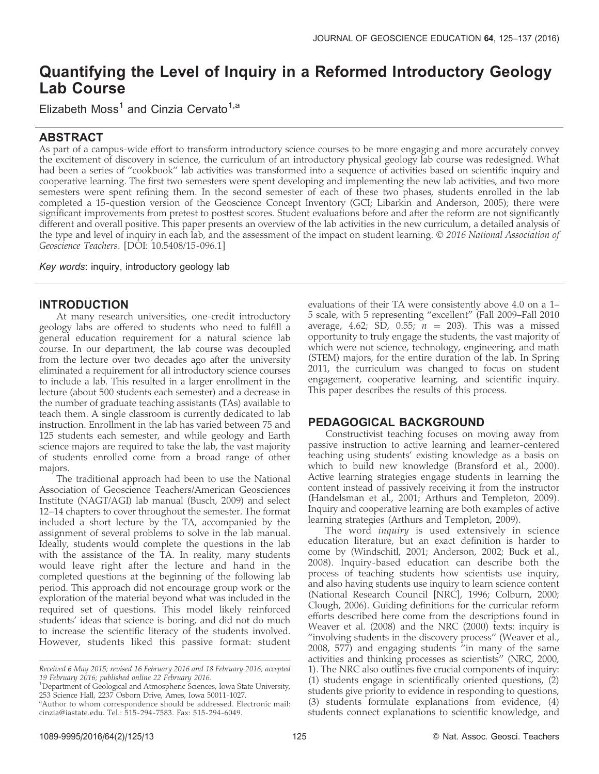# Quantifying the Level of Inquiry in a Reformed Introductory Geology Lab Course

Elizabeth Moss<sup>1</sup> and Cinzia Cervato<sup>1,a</sup>

# ABSTRACT

As part of a campus-wide effort to transform introductory science courses to be more engaging and more accurately convey the excitement of discovery in science, the curriculum of an introductory physical geology lab course was redesigned. What had been a series of "cookbook" lab activities was transformed into a sequence of activities based on scientific inquiry and cooperative learning. The first two semesters were spent developing and implementing the new lab activities, and two more semesters were spent refining them. In the second semester of each of these two phases, students enrolled in the lab completed a 15-question version of the Geoscience Concept Inventory (GCI; Libarkin and Anderson, 2005); there were significant improvements from pretest to posttest scores. Student evaluations before and after the reform are not significantly different and overall positive. This paper presents an overview of the lab activities in the new curriculum, a detailed analysis of the type and level of inquiry in each lab, and the assessment of the impact on student learning. © 2016 Na*tional Association of* Geoscience Teachers. [DOI: 10.5408/15-096.1]

Key words: inquiry, introductory geology lab

# INTRODUCTION

At many research universities, one-credit introductory geology labs are offered to students who need to fulfill a general education requirement for a natural science lab course. In our department, the lab course was decoupled from the lecture over two decades ago after the university eliminated a requirement for all introductory science courses to include a lab. This resulted in a larger enrollment in the lecture (about 500 students each semester) and a decrease in the number of graduate teaching assistants (TAs) available to teach them. A single classroom is currently dedicated to lab instruction. Enrollment in the lab has varied between 75 and 125 students each semester, and while geology and Earth science majors are required to take the lab, the vast majority of students enrolled come from a broad range of other majors.

The traditional approach had been to use the National Association of Geoscience Teachers/American Geosciences Institute (NAGT/AGI) lab manual (Busch, 2009) and select 12–14 chapters to cover throughout the semester. The format included a short lecture by the TA, accompanied by the assignment of several problems to solve in the lab manual. Ideally, students would complete the questions in the lab with the assistance of the TA. In reality, many students would leave right after the lecture and hand in the completed questions at the beginning of the following lab period. This approach did not encourage group work or the exploration of the material beyond what was included in the required set of questions. This model likely reinforced students' ideas that science is boring, and did not do much to increase the scientific literacy of the students involved. However, students liked this passive format: student

evaluations of their TA were consistently above 4.0 on a 1– 5 scale, with 5 representing ''excellent'' (Fall 2009–Fall 2010 average, 4.62; SD, 0.55;  $n = 203$ ). This was a missed opportunity to truly engage the students, the vast majority of which were not science, technology, engineering, and math (STEM) majors, for the entire duration of the lab. In Spring 2011, the curriculum was changed to focus on student engagement, cooperative learning, and scientific inquiry. This paper describes the results of this process.

## PEDAGOGICAL BACKGROUND

Constructivist teaching focuses on moving away from passive instruction to active learning and learner-centered teaching using students' existing knowledge as a basis on which to build new knowledge (Bransford et al., 2000). Active learning strategies engage students in learning the content instead of passively receiving it from the instructor (Handelsman et al., 2001; Arthurs and Templeton, 2009). Inquiry and cooperative learning are both examples of active learning strategies (Arthurs and Templeton, 2009).

The word *inquiry* is used extensively in science education literature, but an exact definition is harder to come by (Windschitl, 2001; Anderson, 2002; Buck et al., 2008). Inquiry-based education can describe both the process of teaching students how scientists use inquiry, and also having students use inquiry to learn science content (National Research Council [NRC], 1996; Colburn, 2000; Clough, 2006). Guiding definitions for the curricular reform efforts described here come from the descriptions found in Weaver et al. (2008) and the NRC (2000) texts: inquiry is ''involving students in the discovery process'' (Weaver et al., 2008, 577) and engaging students ''in many of the same activities and thinking processes as scientists'' (NRC, 2000, 1). The NRC also outlines five crucial components of inquiry: (1) students engage in scientifically oriented questions, (2) students give priority to evidence in responding to questions, (3) students formulate explanations from evidence, (4) students connect explanations to scientific knowledge, and

Received 6 May 2015; revised 16 February 2016 and 18 February 2016; accepted 19 February 2016; published online 22 February 2016.

<sup>&</sup>lt;sup>1</sup>Department of Geological and Atmospheric Sciences, Iowa State University, 253 Science Hall, 2237 Osborn Drive, Ames, Iowa 50011-1027.

<sup>&</sup>lt;sup>a</sup> Author to whom correspondence should be addressed. Electronic mail: cinzia@iastate.edu. Tel.: 515-294-7583. Fax: 515-294-6049.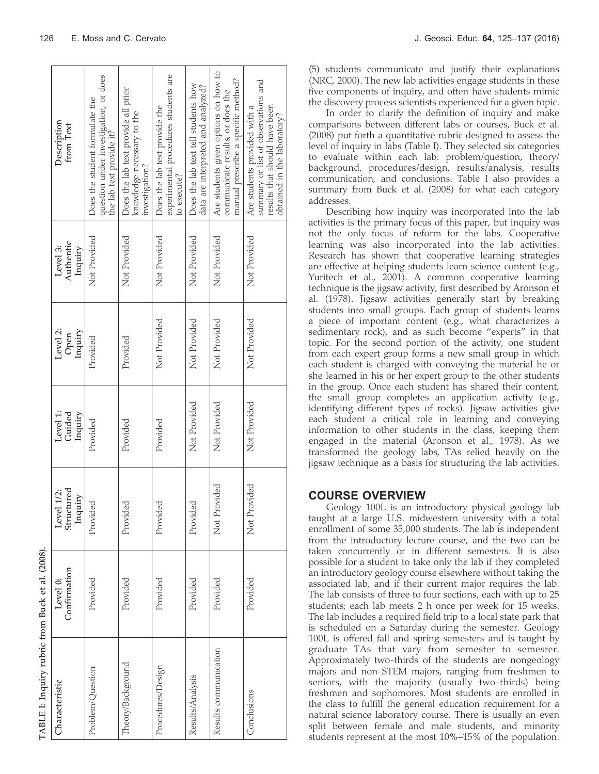|                                                  | Description<br>from Text            | question under investigation, or does<br>Does the student formulate the<br>the lab text provide it? | Does the lab text provide all prior<br>knowledge necessary to the<br>investigation? | experimental procedures students are<br>Does the lab text provide the<br>to execute? | Does the lab text tell students how<br>data are interpreted and analyzed? | Are students given options on how to<br>manual prescribe a specific method?<br>communicate results, or does the | summary or list of observations and<br>results that should have been<br>Are students provided with a<br>obtained in the laboratory? |
|--------------------------------------------------|-------------------------------------|-----------------------------------------------------------------------------------------------------|-------------------------------------------------------------------------------------|--------------------------------------------------------------------------------------|---------------------------------------------------------------------------|-----------------------------------------------------------------------------------------------------------------|-------------------------------------------------------------------------------------------------------------------------------------|
|                                                  | Authentic<br>Inquiry<br>Level 3:    | Not Provided                                                                                        | Not Provided                                                                        | Not Provided                                                                         | Not Provided                                                              | Not Provided                                                                                                    | Not Provided                                                                                                                        |
|                                                  | Level 2:<br>Inquiry<br>Open         | Provided                                                                                            | Provided                                                                            | Not Provided                                                                         | Not Provided                                                              | Not Provided                                                                                                    | Not Provided                                                                                                                        |
|                                                  | Level 1:<br>Guided<br>Inquiry       | Provided                                                                                            | Provided                                                                            | Provided                                                                             | Not Provided                                                              | Not Provided                                                                                                    | Not Provided                                                                                                                        |
|                                                  | Structured<br>Level 1/2:<br>Inquiry | Provided                                                                                            | Provided                                                                            | Provided                                                                             | Provided                                                                  | Not Provided                                                                                                    | Not Provided                                                                                                                        |
|                                                  | Confirmation<br>Level 0:            | Provided                                                                                            | Provided                                                                            | Provided                                                                             | Provided                                                                  | Provided                                                                                                        | Provided                                                                                                                            |
| TABLE I: Inquiry rubric from Buck et al. (2008). | Characteristic                      | Problem/Question                                                                                    | Theory/Background                                                                   | Procedures/Design                                                                    | Results/Analysis                                                          | Results communication                                                                                           | Conclusions                                                                                                                         |

(5) students communicate and justify their explanations (NRC, 2000). The new lab activities engage students in these five components of inquiry, and often have students mimic the discovery process scientists experienced for a given topic.

In order to clarify the definition of inquiry and make comparisons between different labs or courses, Buck et al. (2008) put forth a quantitative rubric designed to assess the level of inquiry in labs (Table I). They selected six categories to evaluate within each lab: problem/question, theory/ background, procedures/design, results/analysis, results communication, and conclusions. Table I also provides a summary from Buck et al. (2008) for what each category addresses.

Describing how inquiry was incorporated into the lab activities is the primary focus of this paper, but inquiry was not the only focus of reform for the labs. Cooperative learning was also incorporated into the lab activities. Research has shown that cooperative learning strategies are effective at helping students learn science content (e.g., Yuritech et al., 2001). A common cooperative learning technique is the jigsaw activity, first described by Aronson et al. (1978). Jigsaw activities generally start by breaking students into small groups. Each group of students learns a piece of important content (e.g., what characterizes a sedimentary rock), and as such become "experts" in that topic. For the second portion of the activity, one student from each expert group forms a new small group in which each student is charged with conveying the material he or she learned in his or her expert group to the other students in the group. Once each student has shared their content, the small group completes an application activity (e.g., identifying different types of rocks). Jigsaw activities give each student a critical role in learning and conveying information to other students in the class, keeping them engaged in the material (Aronson et al., 1978). As we transformed the geology labs, TAs relied heavily on the jigsaw technique as a basis for structuring the lab activities.

## COURSE OVERVIEW

Geology 100L is an introductory physical geology lab taught at a large U.S. midwestern university with a total enrollment of some 35,000 students. The lab is independent from the introductory lecture course, and the two can be taken concurrently or in different semesters. It is also possible for a student to take only the lab if they completed an introductory geology course elsewhere without taking the associated lab, and if their current major requires the lab. The lab consists of three to four sections, each with up to 25 students; each lab meets 2 h once per week for 15 weeks. The lab includes a required field trip to a local state park that is scheduled on a Saturday during the semester. Geology 100L is offered fall and spring semesters and is taught by graduate TAs that vary from semester to semester. Approximately two-thirds of the students are nongeology majors and non-STEM majors, ranging from freshmen to seniors, with the majority (usually two-thirds) being freshmen and sophomores. Most students are enrolled in the class to fulfill the general education requirement for a natural science laboratory course. There is usually an even split between female and male students, and minority students represent at the most 10%–15% of the population.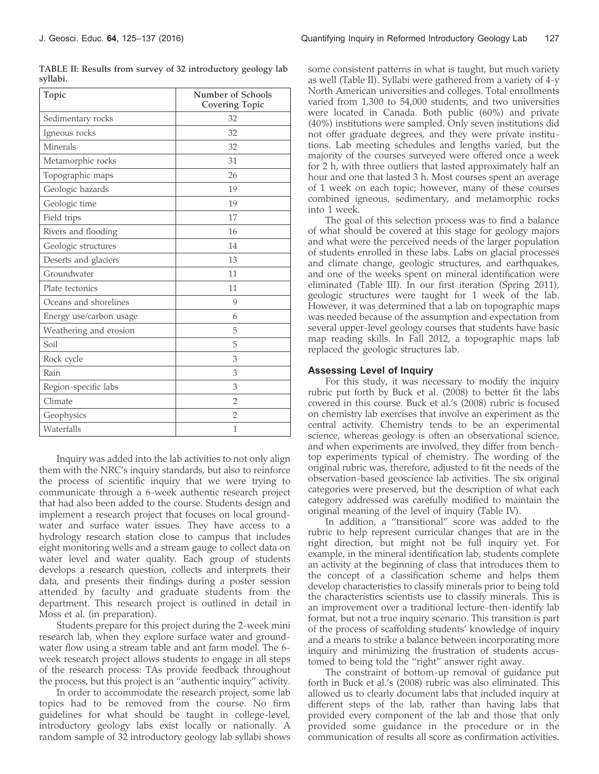|          |  |  | TABLE II: Results from survey of 32 introductory geology lab |  |
|----------|--|--|--------------------------------------------------------------|--|
| syllabi. |  |  |                                                              |  |

| Topic                   | Number of Schools<br>Covering Topic |
|-------------------------|-------------------------------------|
| Sedimentary rocks       | 32                                  |
| Igneous rocks           | 32                                  |
| Minerals                | 32                                  |
| Metamorphic rocks       | 31                                  |
| Topographic maps        | 26                                  |
| Geologic hazards        | 19                                  |
| Geologic time           | 19                                  |
| Field trips             | 17                                  |
| Rivers and flooding     | 16                                  |
| Geologic structures     | 14                                  |
| Deserts and glaciers    | 13                                  |
| Groundwater             | 11                                  |
| Plate tectonics         | 11                                  |
| Oceans and shorelines   | 9                                   |
| Energy use/carbon usage | 6                                   |
| Weathering and erosion  | 5                                   |
| Soil                    | 5                                   |
| Rock cycle              | 3                                   |
| Rain                    | 3                                   |
| Region-specific labs    | 3                                   |
| Climate                 | $\overline{2}$                      |
| Geophysics              | $\overline{2}$                      |
| Waterfalls              | $\overline{1}$                      |

Inquiry was added into the lab activities to not only align them with the NRC's inquiry standards, but also to reinforce the process of scientific inquiry that we were trying to communicate through a 6-week authentic research project that had also been added to the course. Students design and implement a research project that focuses on local groundwater and surface water issues. They have access to a hydrology research station close to campus that includes eight monitoring wells and a stream gauge to collect data on water level and water quality. Each group of students develops a research question, collects and interprets their data, and presents their findings during a poster session attended by faculty and graduate students from the department. This research project is outlined in detail in Moss et al. (in preparation).

Students prepare for this project during the 2-week mini research lab, when they explore surface water and groundwater flow using a stream table and ant farm model. The 6 week research project allows students to engage in all steps of the research process: TAs provide feedback throughout the process, but this project is an ''authentic inquiry'' activity.

In order to accommodate the research project, some lab topics had to be removed from the course. No firm guidelines for what should be taught in college-level, introductory geology labs exist locally or nationally. A random sample of 32 introductory geology lab syllabi shows

some consistent patterns in what is taught, but much variety as well (Table II). Syllabi were gathered from a variety of 4-y North American universities and colleges. Total enrollments varied from 1,300 to 54,000 students, and two universities were located in Canada. Both public (60%) and private (40%) institutions were sampled. Only seven institutions did not offer graduate degrees, and they were private institutions. Lab meeting schedules and lengths varied, but the majority of the courses surveyed were offered once a week for 2 h, with three outliers that lasted approximately half an hour and one that lasted 3 h. Most courses spent an average of 1 week on each topic; however, many of these courses combined igneous, sedimentary, and metamorphic rocks into 1 week.

The goal of this selection process was to find a balance of what should be covered at this stage for geology majors and what were the perceived needs of the larger population of students enrolled in these labs. Labs on glacial processes and climate change, geologic structures, and earthquakes, and one of the weeks spent on mineral identification were eliminated (Table III). In our first iteration (Spring 2011), geologic structures were taught for 1 week of the lab. However, it was determined that a lab on topographic maps was needed because of the assumption and expectation from several upper-level geology courses that students have basic map reading skills. In Fall 2012, a topographic maps lab replaced the geologic structures lab.

#### Assessing Level of Inquiry

For this study, it was necessary to modify the inquiry rubric put forth by Buck et al. (2008) to better fit the labs covered in this course. Buck et al.'s (2008) rubric is focused on chemistry lab exercises that involve an experiment as the central activity. Chemistry tends to be an experimental science, whereas geology is often an observational science, and when experiments are involved, they differ from benchtop experiments typical of chemistry. The wording of the original rubric was, therefore, adjusted to fit the needs of the observation-based geoscience lab activities. The six original categories were preserved, but the description of what each category addressed was carefully modified to maintain the original meaning of the level of inquiry (Table IV).

In addition, a ''transitional'' score was added to the rubric to help represent curricular changes that are in the right direction, but might not be full inquiry yet. For example, in the mineral identification lab, students complete an activity at the beginning of class that introduces them to the concept of a classification scheme and helps them develop characteristics to classify minerals prior to being told the characteristics scientists use to classify minerals. This is an improvement over a traditional lecture-then-identify lab format, but not a true inquiry scenario. This transition is part of the process of scaffolding students' knowledge of inquiry and a means to strike a balance between incorporating more inquiry and minimizing the frustration of students accustomed to being told the "right" answer right away.

The constraint of bottom-up removal of guidance put forth in Buck et al.'s (2008) rubric was also eliminated. This allowed us to clearly document labs that included inquiry at different steps of the lab, rather than having labs that provided every component of the lab and those that only provided some guidance in the procedure or in the communication of results all score as confirmation activities.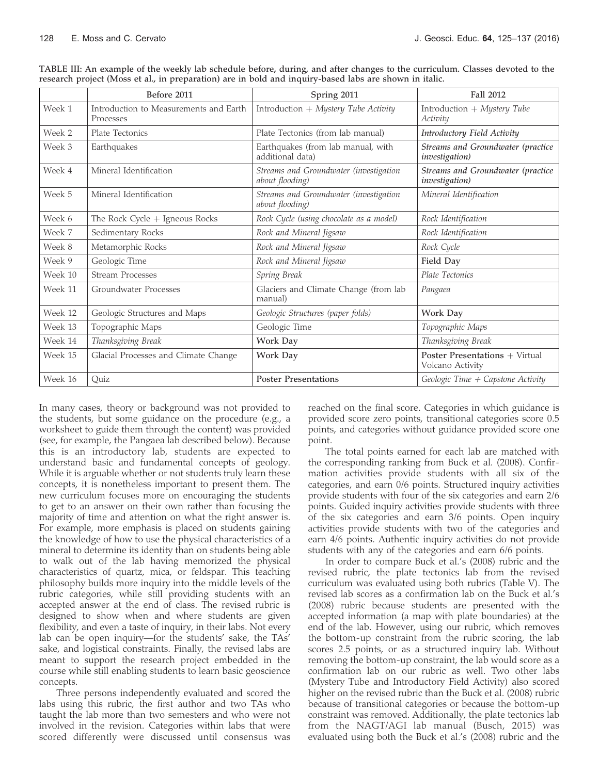|         | Before 2011                                         | Spring 2011                                               | <b>Fall 2012</b>                                            |
|---------|-----------------------------------------------------|-----------------------------------------------------------|-------------------------------------------------------------|
| Week 1  | Introduction to Measurements and Earth<br>Processes | Introduction $+$ Mystery Tube Activity                    | Introduction $+$ Mystery Tube<br>Activity                   |
| Week 2  | Plate Tectonics                                     | Plate Tectonics (from lab manual)                         | Introductory Field Activity                                 |
| Week 3  | Earthquakes                                         | Earthquakes (from lab manual, with<br>additional data)    | Streams and Groundwater (practice<br><i>investigation</i> ) |
| Week 4  | Mineral Identification                              | Streams and Groundwater (investigation<br>about flooding) | Streams and Groundwater (practice<br><i>investigation</i> ) |
| Week 5  | Mineral Identification                              | Streams and Groundwater (investigation<br>about flooding) | Mineral Identification                                      |
| Week 6  | The Rock Cycle $+$ Igneous Rocks                    | Rock Cycle (using chocolate as a model)                   | Rock Identification                                         |
| Week 7  | Sedimentary Rocks                                   | Rock and Mineral Jigsaw                                   | Rock Identification                                         |
| Week 8  | Metamorphic Rocks                                   | Rock and Mineral Jigsaw                                   | Rock Cycle                                                  |
| Week 9  | Geologic Time                                       | Rock and Mineral Jigsaw                                   | Field Day                                                   |
| Week 10 | <b>Stream Processes</b>                             | Spring Break                                              | Plate Tectonics                                             |
| Week 11 | Groundwater Processes                               | Glaciers and Climate Change (from lab<br>manual)          | Pangaea                                                     |
| Week 12 | Geologic Structures and Maps                        | Geologic Structures (paper folds)                         | Work Day                                                    |
| Week 13 | Topographic Maps                                    | Geologic Time                                             | Topographic Maps                                            |
| Week 14 | Thanksgiving Break                                  | Work Day                                                  | Thanksgiving Break                                          |
| Week 15 | Glacial Processes and Climate Change                | Work Day                                                  | Poster Presentations + Virtual<br>Volcano Activity          |
| Week 16 | Quiz                                                | <b>Poster Presentations</b>                               | Geologic Time $+$ Capstone Activity                         |

TABLE III: An example of the weekly lab schedule before, during, and after changes to the curriculum. Classes devoted to the research project (Moss et al., in preparation) are in bold and inquiry-based labs are shown in italic.

In many cases, theory or background was not provided to the students, but some guidance on the procedure (e.g., a worksheet to guide them through the content) was provided (see, for example, the Pangaea lab described below). Because this is an introductory lab, students are expected to understand basic and fundamental concepts of geology. While it is arguable whether or not students truly learn these concepts, it is nonetheless important to present them. The new curriculum focuses more on encouraging the students to get to an answer on their own rather than focusing the majority of time and attention on what the right answer is. For example, more emphasis is placed on students gaining the knowledge of how to use the physical characteristics of a mineral to determine its identity than on students being able to walk out of the lab having memorized the physical characteristics of quartz, mica, or feldspar. This teaching philosophy builds more inquiry into the middle levels of the rubric categories, while still providing students with an accepted answer at the end of class. The revised rubric is designed to show when and where students are given flexibility, and even a taste of inquiry, in their labs. Not every lab can be open inquiry—for the students' sake, the TAs' sake, and logistical constraints. Finally, the revised labs are meant to support the research project embedded in the course while still enabling students to learn basic geoscience concepts.

Three persons independently evaluated and scored the labs using this rubric, the first author and two TAs who taught the lab more than two semesters and who were not involved in the revision. Categories within labs that were scored differently were discussed until consensus was reached on the final score. Categories in which guidance is provided score zero points, transitional categories score 0.5 points, and categories without guidance provided score one point.

The total points earned for each lab are matched with the corresponding ranking from Buck et al. (2008). Confirmation activities provide students with all six of the categories, and earn 0/6 points. Structured inquiry activities provide students with four of the six categories and earn 2/6 points. Guided inquiry activities provide students with three of the six categories and earn 3/6 points. Open inquiry activities provide students with two of the categories and earn 4/6 points. Authentic inquiry activities do not provide students with any of the categories and earn 6/6 points.

In order to compare Buck et al.'s (2008) rubric and the revised rubric, the plate tectonics lab from the revised curriculum was evaluated using both rubrics (Table V). The revised lab scores as a confirmation lab on the Buck et al.'s (2008) rubric because students are presented with the accepted information (a map with plate boundaries) at the end of the lab. However, using our rubric, which removes the bottom-up constraint from the rubric scoring, the lab scores 2.5 points, or as a structured inquiry lab. Without removing the bottom-up constraint, the lab would score as a confirmation lab on our rubric as well. Two other labs (Mystery Tube and Introductory Field Activity) also scored higher on the revised rubric than the Buck et al. (2008) rubric because of transitional categories or because the bottom-up constraint was removed. Additionally, the plate tectonics lab from the NAGT/AGI lab manual (Busch, 2015) was evaluated using both the Buck et al.'s (2008) rubric and the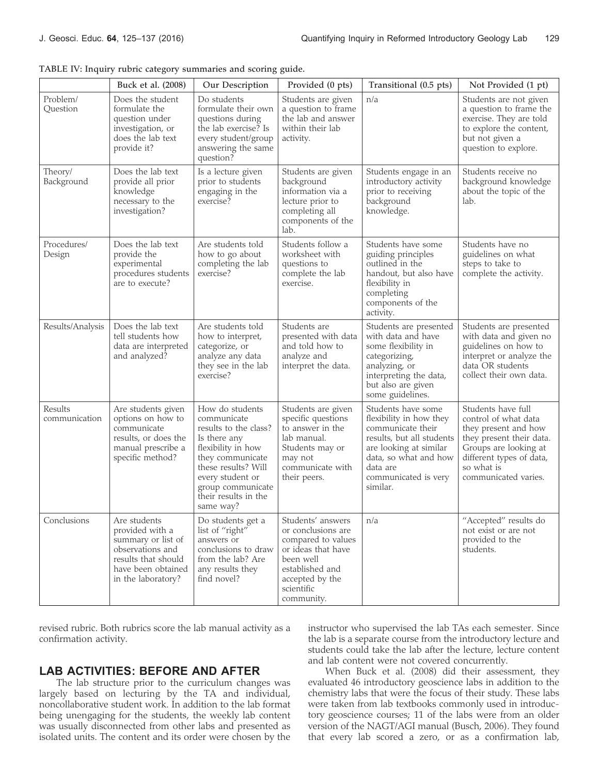|                          | Buck et al. (2008)                                                                                                                           | Our Description                                                                                                                                                                                                        | Provided (0 pts)                                                                                                                                                   | Transitional (0.5 pts)                                                                                                                                                                             | Not Provided (1 pt)                                                                                                                                                                       |
|--------------------------|----------------------------------------------------------------------------------------------------------------------------------------------|------------------------------------------------------------------------------------------------------------------------------------------------------------------------------------------------------------------------|--------------------------------------------------------------------------------------------------------------------------------------------------------------------|----------------------------------------------------------------------------------------------------------------------------------------------------------------------------------------------------|-------------------------------------------------------------------------------------------------------------------------------------------------------------------------------------------|
| Problem/<br>Question     | Does the student<br>formulate the<br>question under<br>investigation, or<br>does the lab text<br>provide it?                                 | Do students<br>formulate their own<br>questions during<br>the lab exercise? Is<br>every student/group<br>answering the same<br>question?                                                                               | Students are given<br>a question to frame<br>the lab and answer<br>within their lab<br>activity.                                                                   | n/a                                                                                                                                                                                                | Students are not given<br>a question to frame the<br>exercise. They are told<br>to explore the content,<br>but not given a<br>question to explore.                                        |
| Theory/<br>Background    | Does the lab text<br>provide all prior<br>knowledge<br>necessary to the<br>investigation?                                                    | Is a lecture given<br>prior to students<br>engaging in the<br>exercise?                                                                                                                                                | Students are given<br>background<br>information via a<br>lecture prior to<br>completing all<br>components of the<br>lab.                                           | Students engage in an<br>introductory activity<br>prior to receiving<br>background<br>knowledge.                                                                                                   | Students receive no<br>background knowledge<br>about the topic of the<br>lab.                                                                                                             |
| Procedures/<br>Design    | Does the lab text<br>provide the<br>experimental<br>procedures students<br>are to execute?                                                   | Are students told<br>how to go about<br>completing the lab<br>exercise?                                                                                                                                                | Students follow a<br>worksheet with<br>questions to<br>complete the lab<br>exercise.                                                                               | Students have some<br>guiding principles<br>outlined in the<br>handout, but also have<br>flexibility in<br>completing<br>components of the<br>activity.                                            | Students have no<br>guidelines on what<br>steps to take to<br>complete the activity.                                                                                                      |
| Results/Analysis         | Does the lab text<br>tell students how<br>data are interpreted<br>and analyzed?                                                              | Are students told<br>how to interpret,<br>categorize, or<br>analyze any data<br>they see in the lab<br>exercise?                                                                                                       | Students are<br>presented with data<br>and told how to<br>analyze and<br>interpret the data.                                                                       | Students are presented<br>with data and have<br>some flexibility in<br>categorizing,<br>analyzing, or<br>interpreting the data,<br>but also are given<br>some guidelines.                          | Students are presented<br>with data and given no<br>guidelines on how to<br>interpret or analyze the<br>data OR students<br>collect their own data.                                       |
| Results<br>communication | Are students given<br>options on how to<br>communicate<br>results, or does the<br>manual prescribe a<br>specific method?                     | How do students<br>communicate<br>results to the class?<br>Is there any<br>flexibility in how<br>they communicate<br>these results? Will<br>every student or<br>group communicate<br>their results in the<br>same way? | Students are given<br>specific questions<br>to answer in the<br>lab manual.<br>Students may or<br>may not<br>communicate with<br>their peers.                      | Students have some<br>flexibility in how they<br>communicate their<br>results, but all students<br>are looking at similar<br>data, so what and how<br>data are<br>communicated is very<br>similar. | Students have full<br>control of what data<br>they present and how<br>they present their data.<br>Groups are looking at<br>different types of data,<br>so what is<br>communicated varies. |
| Conclusions              | Are students<br>provided with a<br>summary or list of<br>observations and<br>results that should<br>have been obtained<br>in the laboratory? | Do students get a<br>list of "right"<br>answers or<br>conclusions to draw<br>from the lab? Are<br>any results they<br>find novel?                                                                                      | Students' answers<br>or conclusions are<br>compared to values<br>or ideas that have<br>been well<br>established and<br>accepted by the<br>scientific<br>community. | n/a                                                                                                                                                                                                | "Accepted" results do<br>not exist or are not<br>provided to the<br>students.                                                                                                             |

TABLE IV: Inquiry rubric category summaries and scoring guide.

revised rubric. Both rubrics score the lab manual activity as a confirmation activity.

## LAB ACTIVITIES: BEFORE AND AFTER

The lab structure prior to the curriculum changes was largely based on lecturing by the TA and individual, noncollaborative student work. In addition to the lab format being unengaging for the students, the weekly lab content was usually disconnected from other labs and presented as isolated units. The content and its order were chosen by the

instructor who supervised the lab TAs each semester. Since the lab is a separate course from the introductory lecture and students could take the lab after the lecture, lecture content and lab content were not covered concurrently.

When Buck et al. (2008) did their assessment, they evaluated 46 introductory geoscience labs in addition to the chemistry labs that were the focus of their study. These labs were taken from lab textbooks commonly used in introductory geoscience courses; 11 of the labs were from an older version of the NAGT/AGI manual (Busch, 2006). They found that every lab scored a zero, or as a confirmation lab,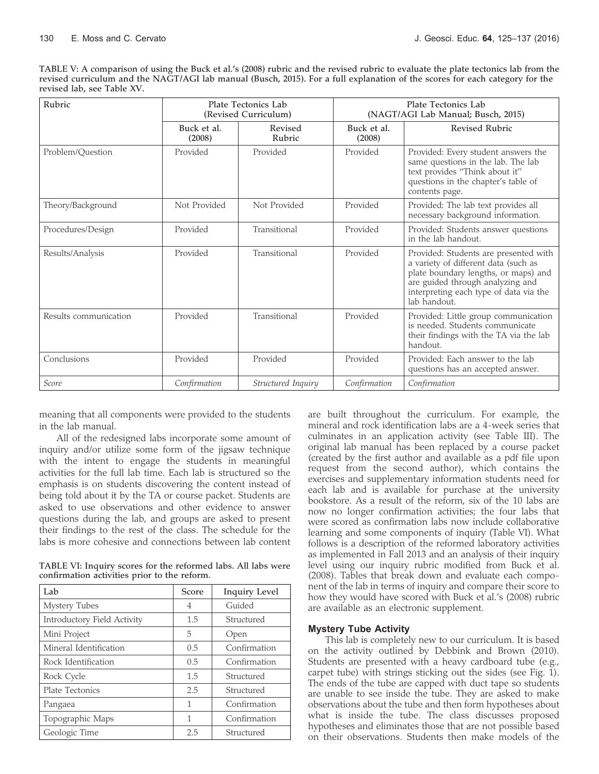TABLE V: A comparison of using the Buck et al.'s (2008) rubric and the revised rubric to evaluate the plate tectonics lab from the revised curriculum and the NAGT/AGI lab manual (Busch, 2015). For a full explanation of the scores for each category for the revised lab, see Table XV.

| Rubric                |                       | Plate Tectonics Lab<br>(Revised Curriculum) | Plate Tectonics Lab<br>(NAGT/AGI Lab Manual; Busch, 2015) |                                                                                                                                                                                                                     |  |
|-----------------------|-----------------------|---------------------------------------------|-----------------------------------------------------------|---------------------------------------------------------------------------------------------------------------------------------------------------------------------------------------------------------------------|--|
|                       | Buck et al.<br>(2008) | Revised<br>Rubric                           | Buck et al.<br>(2008)                                     | <b>Revised Rubric</b>                                                                                                                                                                                               |  |
| Problem/Question      | Provided              | Provided                                    | Provided                                                  | Provided: Every student answers the<br>same questions in the lab. The lab<br>text provides "Think about it"<br>questions in the chapter's table of<br>contents page.                                                |  |
| Theory/Background     | Not Provided          | Not Provided                                | Provided                                                  | Provided: The lab text provides all<br>necessary background information.                                                                                                                                            |  |
| Procedures/Design     | Provided              | Transitional                                | Provided                                                  | Provided: Students answer questions<br>in the lab handout.                                                                                                                                                          |  |
| Results/Analysis      | Provided              | Transitional                                | Provided                                                  | Provided: Students are presented with<br>a variety of different data (such as<br>plate boundary lengths, or maps) and<br>are guided through analyzing and<br>interpreting each type of data via the<br>lab handout. |  |
| Results communication | Provided              | Transitional                                | Provided                                                  | Provided: Little group communication<br>is needed. Students communicate<br>their findings with the TA via the lab<br>handout.                                                                                       |  |
| Conclusions           | Provided              | Provided                                    | Provided                                                  | Provided: Each answer to the lab<br>questions has an accepted answer.                                                                                                                                               |  |
| Score                 | Confirmation          | Structured Inquiry                          | Confirmation                                              | Confirmation                                                                                                                                                                                                        |  |

meaning that all components were provided to the students in the lab manual.

All of the redesigned labs incorporate some amount of inquiry and/or utilize some form of the jigsaw technique with the intent to engage the students in meaningful activities for the full lab time. Each lab is structured so the emphasis is on students discovering the content instead of being told about it by the TA or course packet. Students are asked to use observations and other evidence to answer questions during the lab, and groups are asked to present their findings to the rest of the class. The schedule for the labs is more cohesive and connections between lab content

TABLE VI: Inquiry scores for the reformed labs. All labs were confirmation activities prior to the reform.

| Lab                         | Score | <b>Inquiry Level</b> |
|-----------------------------|-------|----------------------|
| Mystery Tubes               | 4     | Guided               |
| Introductory Field Activity | 1.5   | Structured           |
| Mini Project                | 5     | Open                 |
| Mineral Identification      | 0.5   | Confirmation         |
| Rock Identification         | 0.5   | Confirmation         |
| Rock Cycle                  | 1.5   | Structured           |
| Plate Tectonics             | 2.5   | Structured           |
| Pangaea                     | 1     | Confirmation         |
| Topographic Maps            | 1     | Confirmation         |
| Geologic Time               | 2.5   | Structured           |

are built throughout the curriculum. For example, the mineral and rock identification labs are a 4-week series that culminates in an application activity (see Table III). The original lab manual has been replaced by a course packet (created by the first author and available as a pdf file upon request from the second author), which contains the exercises and supplementary information students need for each lab and is available for purchase at the university bookstore. As a result of the reform, six of the 10 labs are now no longer confirmation activities; the four labs that were scored as confirmation labs now include collaborative learning and some components of inquiry (Table VI). What follows is a description of the reformed laboratory activities as implemented in Fall 2013 and an analysis of their inquiry level using our inquiry rubric modified from Buck et al. (2008). Tables that break down and evaluate each component of the lab in terms of inquiry and compare their score to how they would have scored with Buck et al.'s (2008) rubric are available as an electronic supplement.

### Mystery Tube Activity

This lab is completely new to our curriculum. It is based on the activity outlined by Debbink and Brown (2010). Students are presented with a heavy cardboard tube (e.g., carpet tube) with strings sticking out the sides (see Fig. 1). The ends of the tube are capped with duct tape so students are unable to see inside the tube. They are asked to make observations about the tube and then form hypotheses about what is inside the tube. The class discusses proposed hypotheses and eliminates those that are not possible based on their observations. Students then make models of the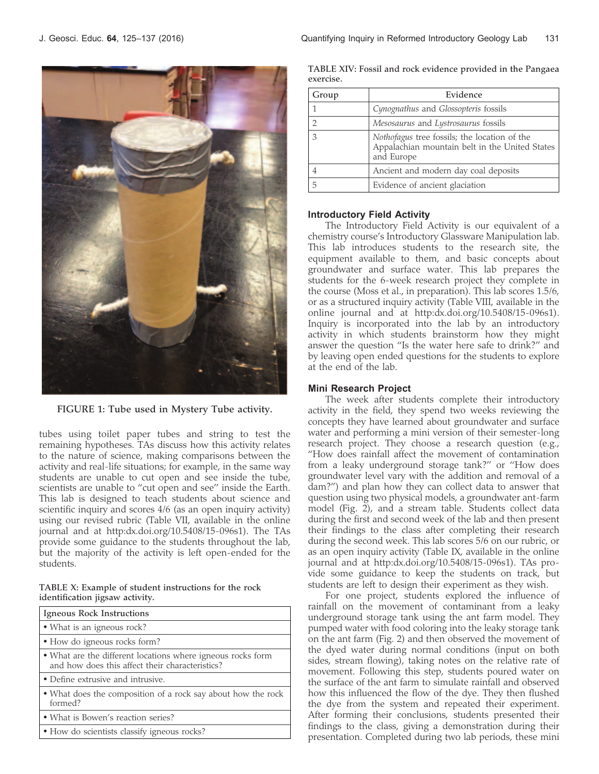

FIGURE 1: Tube used in Mystery Tube activity.

tubes using toilet paper tubes and string to test the remaining hypotheses. TAs discuss how this activity relates to the nature of science, making comparisons between the activity and real-life situations; for example, in the same way students are unable to cut open and see inside the tube, scientists are unable to ''cut open and see'' inside the Earth. This lab is designed to teach students about science and scientific inquiry and scores 4/6 (as an open inquiry activity) using our revised rubric (Table VII, available in the online journal and at http:dx.doi.org/10.5408/15-096s1). The TAs provide some guidance to the students throughout the lab, but the majority of the activity is left open-ended for the students.

TABLE X: Example of student instructions for the rock identification jigsaw activity.

| Igneous Rock Instructions                                                                                      |
|----------------------------------------------------------------------------------------------------------------|
| • What is an igneous rock?                                                                                     |
| • How do igneous rocks form?                                                                                   |
| • What are the different locations where igneous rocks form<br>and how does this affect their characteristics? |
| • Define extrusive and intrusive.                                                                              |
| • What does the composition of a rock say about how the rock<br>formed?                                        |
| • What is Bowen's reaction series?                                                                             |
| • How do scientists classify igneous rocks?                                                                    |

TABLE XIV: Fossil and rock evidence provided in the Pangaea exercise.

| Group         | Evidence                                                                                                     |
|---------------|--------------------------------------------------------------------------------------------------------------|
|               | Cynognathus and Glossopteris fossils                                                                         |
| $\mathcal{D}$ | Mesosaurus and Lystrosaurus fossils                                                                          |
| 3             | Nothofagus tree fossils; the location of the<br>Appalachian mountain belt in the United States<br>and Europe |
|               | Ancient and modern day coal deposits                                                                         |
|               | Evidence of ancient glaciation                                                                               |

#### Introductory Field Activity

The Introductory Field Activity is our equivalent of a chemistry course's Introductory Glassware Manipulation lab. This lab introduces students to the research site, the equipment available to them, and basic concepts about groundwater and surface water. This lab prepares the students for the 6-week research project they complete in the course (Moss et al., in preparation). This lab scores 1.5/6, or as a structured inquiry activity (Table VIII, available in the online journal and at http:dx.doi.org/10.5408/15-096s1). Inquiry is incorporated into the lab by an introductory activity in which students brainstorm how they might answer the question ''Is the water here safe to drink?'' and by leaving open ended questions for the students to explore at the end of the lab.

### Mini Research Project

The week after students complete their introductory activity in the field, they spend two weeks reviewing the concepts they have learned about groundwater and surface water and performing a mini version of their semester-long research project. They choose a research question (e.g., ''How does rainfall affect the movement of contamination from a leaky underground storage tank?'' or ''How does groundwater level vary with the addition and removal of a dam?'') and plan how they can collect data to answer that question using two physical models, a groundwater ant-farm model (Fig. 2), and a stream table. Students collect data during the first and second week of the lab and then present their findings to the class after completing their research during the second week. This lab scores 5/6 on our rubric, or as an open inquiry activity (Table IX, available in the online journal and at http:dx.doi.org/10.5408/15-096s1). TAs provide some guidance to keep the students on track, but students are left to design their experiment as they wish.

For one project, students explored the influence of rainfall on the movement of contaminant from a leaky underground storage tank using the ant farm model. They pumped water with food coloring into the leaky storage tank on the ant farm (Fig. 2) and then observed the movement of the dyed water during normal conditions (input on both sides, stream flowing), taking notes on the relative rate of movement. Following this step, students poured water on the surface of the ant farm to simulate rainfall and observed how this influenced the flow of the dye. They then flushed the dye from the system and repeated their experiment. After forming their conclusions, students presented their findings to the class, giving a demonstration during their presentation. Completed during two lab periods, these mini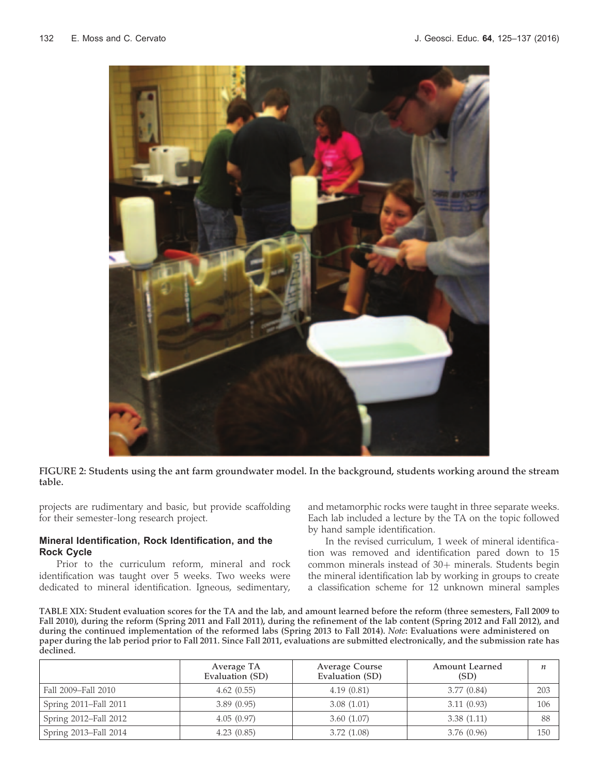

FIGURE 2: Students using the ant farm groundwater model. In the background, students working around the stream table.

projects are rudimentary and basic, but provide scaffolding for their semester-long research project.

## Mineral Identification, Rock Identification, and the Rock Cycle

Prior to the curriculum reform, mineral and rock identification was taught over 5 weeks. Two weeks were dedicated to mineral identification. Igneous, sedimentary, and metamorphic rocks were taught in three separate weeks. Each lab included a lecture by the TA on the topic followed by hand sample identification.

In the revised curriculum, 1 week of mineral identification was removed and identification pared down to 15 common minerals instead of 30+ minerals. Students begin the mineral identification lab by working in groups to create a classification scheme for 12 unknown mineral samples

TABLE XIX: Student evaluation scores for the TA and the lab, and amount learned before the reform (three semesters, Fall 2009 to Fall 2010), during the reform (Spring 2011 and Fall 2011), during the refinement of the lab content (Spring 2012 and Fall 2012), and during the continued implementation of the reformed labs (Spring 2013 to Fall 2014). Note: Evaluations were administered on paper during the lab period prior to Fall 2011. Since Fall 2011, evaluations are submitted electronically, and the submission rate has declined.

|                       | Average TA<br>Evaluation (SD) | Average Course<br>Evaluation (SD) | Amount Learned<br>(SD) |     |
|-----------------------|-------------------------------|-----------------------------------|------------------------|-----|
| Fall 2009-Fall 2010   | 4.62(0.55)                    | 4.19(0.81)                        | 3.77(0.84)             | 203 |
| Spring 2011-Fall 2011 | 3.89(0.95)                    | 3.08(1.01)                        | 3.11(0.93)             | 106 |
| Spring 2012-Fall 2012 | 4.05(0.97)                    | 3.60(1.07)                        | 3.38(1.11)             | 88  |
| Spring 2013-Fall 2014 | 4.23(0.85)                    | 3.72(1.08)                        | 3.76(0.96)             | 150 |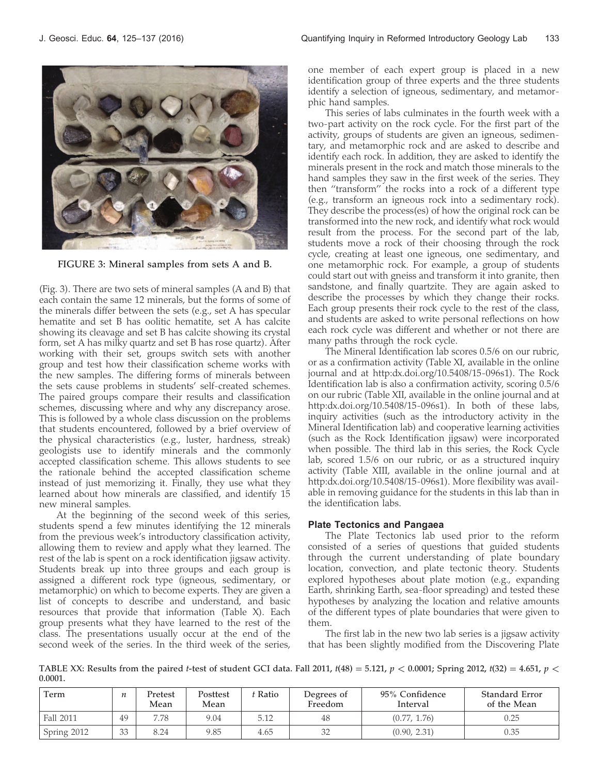

FIGURE 3: Mineral samples from sets A and B.

(Fig. 3). There are two sets of mineral samples (A and B) that each contain the same 12 minerals, but the forms of some of the minerals differ between the sets (e.g., set A has specular hematite and set B has oolitic hematite, set A has calcite showing its cleavage and set B has calcite showing its crystal form, set A has milky quartz and set B has rose quartz). After working with their set, groups switch sets with another group and test how their classification scheme works with the new samples. The differing forms of minerals between the sets cause problems in students' self-created schemes. The paired groups compare their results and classification schemes, discussing where and why any discrepancy arose. This is followed by a whole class discussion on the problems that students encountered, followed by a brief overview of the physical characteristics (e.g., luster, hardness, streak) geologists use to identify minerals and the commonly accepted classification scheme. This allows students to see the rationale behind the accepted classification scheme instead of just memorizing it. Finally, they use what they learned about how minerals are classified, and identify 15 new mineral samples.

At the beginning of the second week of this series, students spend a few minutes identifying the 12 minerals from the previous week's introductory classification activity, allowing them to review and apply what they learned. The rest of the lab is spent on a rock identification jigsaw activity. Students break up into three groups and each group is assigned a different rock type (igneous, sedimentary, or metamorphic) on which to become experts. They are given a list of concepts to describe and understand, and basic resources that provide that information (Table X). Each group presents what they have learned to the rest of the class. The presentations usually occur at the end of the second week of the series. In the third week of the series,

one member of each expert group is placed in a new identification group of three experts and the three students identify a selection of igneous, sedimentary, and metamorphic hand samples.

This series of labs culminates in the fourth week with a two-part activity on the rock cycle. For the first part of the activity, groups of students are given an igneous, sedimentary, and metamorphic rock and are asked to describe and identify each rock. In addition, they are asked to identify the minerals present in the rock and match those minerals to the hand samples they saw in the first week of the series. They then ''transform'' the rocks into a rock of a different type (e.g., transform an igneous rock into a sedimentary rock). They describe the process(es) of how the original rock can be transformed into the new rock, and identify what rock would result from the process. For the second part of the lab, students move a rock of their choosing through the rock cycle, creating at least one igneous, one sedimentary, and one metamorphic rock. For example, a group of students could start out with gneiss and transform it into granite, then sandstone, and finally quartzite. They are again asked to describe the processes by which they change their rocks. Each group presents their rock cycle to the rest of the class, and students are asked to write personal reflections on how each rock cycle was different and whether or not there are many paths through the rock cycle.

The Mineral Identification lab scores 0.5/6 on our rubric, or as a confirmation activity (Table XI, available in the online journal and at http:dx.doi.org/10.5408/15-096s1). The Rock Identification lab is also a confirmation activity, scoring 0.5/6 on our rubric (Table XII, available in the online journal and at http:dx.doi.org/10.5408/15-096s1). In both of these labs, inquiry activities (such as the introductory activity in the Mineral Identification lab) and cooperative learning activities (such as the Rock Identification jigsaw) were incorporated when possible. The third lab in this series, the Rock Cycle lab, scored 1.5/6 on our rubric, or as a structured inquiry activity (Table XIII, available in the online journal and at http:dx.doi.org/10.5408/15-096s1). More flexibility was available in removing guidance for the students in this lab than in the identification labs.

#### Plate Tectonics and Pangaea

The Plate Tectonics lab used prior to the reform consisted of a series of questions that guided students through the current understanding of plate boundary location, convection, and plate tectonic theory. Students explored hypotheses about plate motion (e.g., expanding Earth, shrinking Earth, sea-floor spreading) and tested these hypotheses by analyzing the location and relative amounts of the different types of plate boundaries that were given to them.

The first lab in the new two lab series is a jigsaw activity that has been slightly modified from the Discovering Plate

TABLE XX: Results from the paired t-test of student GCI data. Fall 2011,  $t(48) = 5.121$ ,  $p < 0.0001$ ; Spring 2012,  $t(32) = 4.651$ ,  $p <$ 0.0001.

| Term        | n  | Pretest<br>Mean | Posttest<br>Mean | ' Ratio | Degrees of<br>Freedom | 95% Confidence<br>Interval | <b>Standard Error</b><br>of the Mean |
|-------------|----|-----------------|------------------|---------|-----------------------|----------------------------|--------------------------------------|
| Fall 2011   | 49 | 7.78            | 9.04             | 5.12    | 48                    | (0.77, 1.76)               | 0.25                                 |
| Spring 2012 | 33 | 8.24            | 9.85             | 4.65    | 32                    | (0.90, 2.31)               | 0.35                                 |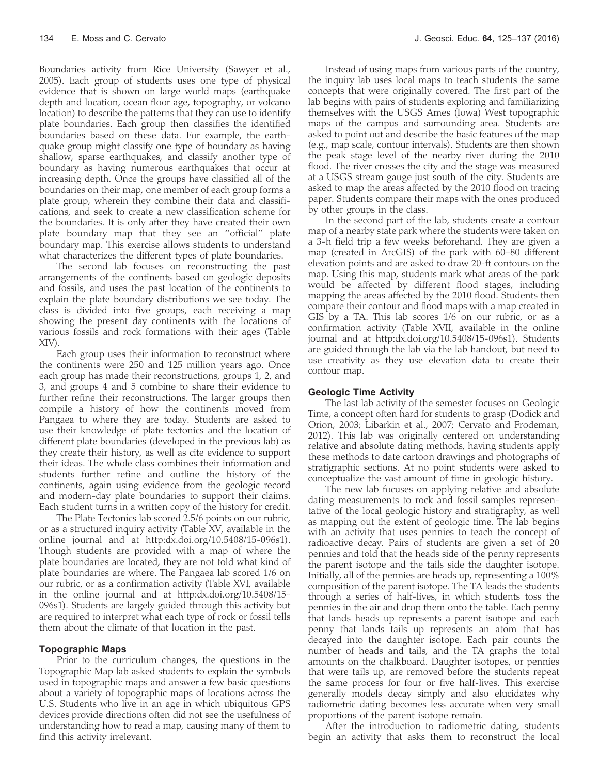Boundaries activity from Rice University (Sawyer et al., 2005). Each group of students uses one type of physical evidence that is shown on large world maps (earthquake depth and location, ocean floor age, topography, or volcano location) to describe the patterns that they can use to identify plate boundaries. Each group then classifies the identified boundaries based on these data. For example, the earthquake group might classify one type of boundary as having shallow, sparse earthquakes, and classify another type of boundary as having numerous earthquakes that occur at increasing depth. Once the groups have classified all of the boundaries on their map, one member of each group forms a plate group, wherein they combine their data and classifications, and seek to create a new classification scheme for the boundaries. It is only after they have created their own plate boundary map that they see an ''official'' plate boundary map. This exercise allows students to understand what characterizes the different types of plate boundaries.

The second lab focuses on reconstructing the past arrangements of the continents based on geologic deposits and fossils, and uses the past location of the continents to explain the plate boundary distributions we see today. The class is divided into five groups, each receiving a map showing the present day continents with the locations of various fossils and rock formations with their ages (Table XIV).

Each group uses their information to reconstruct where the continents were 250 and 125 million years ago. Once each group has made their reconstructions, groups 1, 2, and 3, and groups 4 and 5 combine to share their evidence to further refine their reconstructions. The larger groups then compile a history of how the continents moved from Pangaea to where they are today. Students are asked to use their knowledge of plate tectonics and the location of different plate boundaries (developed in the previous lab) as they create their history, as well as cite evidence to support their ideas. The whole class combines their information and students further refine and outline the history of the continents, again using evidence from the geologic record and modern-day plate boundaries to support their claims. Each student turns in a written copy of the history for credit.

The Plate Tectonics lab scored 2.5/6 points on our rubric, or as a structured inquiry activity (Table XV, available in the online journal and at http:dx.doi.org/10.5408/15-096s1). Though students are provided with a map of where the plate boundaries are located, they are not told what kind of plate boundaries are where. The Pangaea lab scored 1/6 on our rubric, or as a confirmation activity (Table XVI, available in the online journal and at http:dx.doi.org/10.5408/15- 096s1). Students are largely guided through this activity but are required to interpret what each type of rock or fossil tells them about the climate of that location in the past.

#### Topographic Maps

Prior to the curriculum changes, the questions in the Topographic Map lab asked students to explain the symbols used in topographic maps and answer a few basic questions about a variety of topographic maps of locations across the U.S. Students who live in an age in which ubiquitous GPS devices provide directions often did not see the usefulness of understanding how to read a map, causing many of them to find this activity irrelevant.

Instead of using maps from various parts of the country, the inquiry lab uses local maps to teach students the same concepts that were originally covered. The first part of the lab begins with pairs of students exploring and familiarizing themselves with the USGS Ames (Iowa) West topographic maps of the campus and surrounding area. Students are asked to point out and describe the basic features of the map (e.g., map scale, contour intervals). Students are then shown the peak stage level of the nearby river during the 2010 flood. The river crosses the city and the stage was measured at a USGS stream gauge just south of the city. Students are asked to map the areas affected by the 2010 flood on tracing paper. Students compare their maps with the ones produced by other groups in the class.

In the second part of the lab, students create a contour map of a nearby state park where the students were taken on a 3-h field trip a few weeks beforehand. They are given a map (created in ArcGIS) of the park with 60–80 different elevation points and are asked to draw 20-ft contours on the map. Using this map, students mark what areas of the park would be affected by different flood stages, including mapping the areas affected by the 2010 flood. Students then compare their contour and flood maps with a map created in GIS by a TA. This lab scores 1/6 on our rubric, or as a confirmation activity (Table XVII, available in the online journal and at http:dx.doi.org/10.5408/15-096s1). Students are guided through the lab via the lab handout, but need to use creativity as they use elevation data to create their contour map.

#### Geologic Time Activity

The last lab activity of the semester focuses on Geologic Time, a concept often hard for students to grasp (Dodick and Orion, 2003; Libarkin et al., 2007; Cervato and Frodeman, 2012). This lab was originally centered on understanding relative and absolute dating methods, having students apply these methods to date cartoon drawings and photographs of stratigraphic sections. At no point students were asked to conceptualize the vast amount of time in geologic history.

The new lab focuses on applying relative and absolute dating measurements to rock and fossil samples representative of the local geologic history and stratigraphy, as well as mapping out the extent of geologic time. The lab begins with an activity that uses pennies to teach the concept of radioactive decay. Pairs of students are given a set of 20 pennies and told that the heads side of the penny represents the parent isotope and the tails side the daughter isotope. Initially, all of the pennies are heads up, representing a 100% composition of the parent isotope. The TA leads the students through a series of half-lives, in which students toss the pennies in the air and drop them onto the table. Each penny that lands heads up represents a parent isotope and each penny that lands tails up represents an atom that has decayed into the daughter isotope. Each pair counts the number of heads and tails, and the TA graphs the total amounts on the chalkboard. Daughter isotopes, or pennies that were tails up, are removed before the students repeat the same process for four or five half-lives. This exercise generally models decay simply and also elucidates why radiometric dating becomes less accurate when very small proportions of the parent isotope remain.

After the introduction to radiometric dating, students begin an activity that asks them to reconstruct the local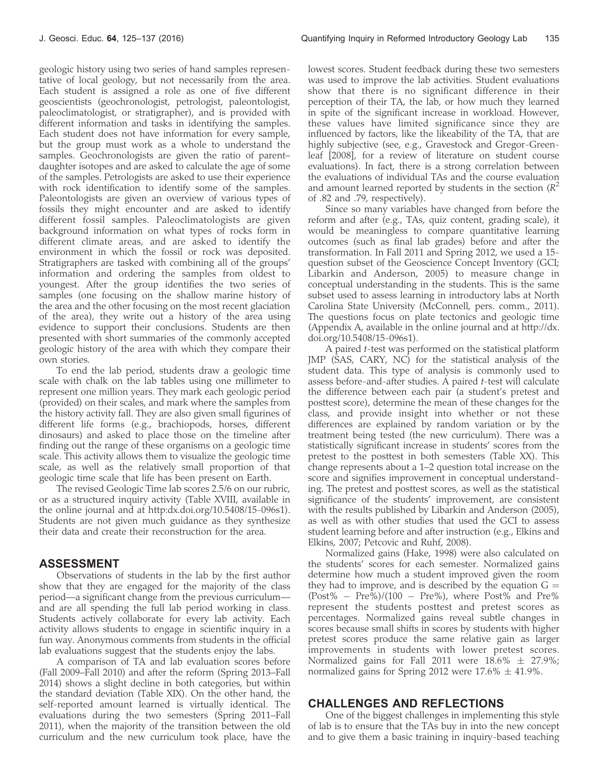geologic history using two series of hand samples representative of local geology, but not necessarily from the area. Each student is assigned a role as one of five different geoscientists (geochronologist, petrologist, paleontologist, paleoclimatologist, or stratigrapher), and is provided with different information and tasks in identifying the samples. Each student does not have information for every sample, but the group must work as a whole to understand the samples. Geochronologists are given the ratio of parent– daughter isotopes and are asked to calculate the age of some of the samples. Petrologists are asked to use their experience with rock identification to identify some of the samples. Paleontologists are given an overview of various types of fossils they might encounter and are asked to identify different fossil samples. Paleoclimatologists are given background information on what types of rocks form in different climate areas, and are asked to identify the environment in which the fossil or rock was deposited. Stratigraphers are tasked with combining all of the groups' information and ordering the samples from oldest to youngest. After the group identifies the two series of samples (one focusing on the shallow marine history of the area and the other focusing on the most recent glaciation of the area), they write out a history of the area using evidence to support their conclusions. Students are then presented with short summaries of the commonly accepted geologic history of the area with which they compare their own stories.

To end the lab period, students draw a geologic time scale with chalk on the lab tables using one millimeter to represent one million years. They mark each geologic period (provided) on their scales, and mark where the samples from the history activity fall. They are also given small figurines of different life forms (e.g., brachiopods, horses, different dinosaurs) and asked to place those on the timeline after finding out the range of these organisms on a geologic time scale. This activity allows them to visualize the geologic time scale, as well as the relatively small proportion of that geologic time scale that life has been present on Earth.

The revised Geologic Time lab scores 2.5/6 on our rubric, or as a structured inquiry activity (Table XVIII, available in the online journal and at http:dx.doi.org/10.5408/15-096s1). Students are not given much guidance as they synthesize their data and create their reconstruction for the area.

## ASSESSMENT

Observations of students in the lab by the first author show that they are engaged for the majority of the class period—a significant change from the previous curriculum and are all spending the full lab period working in class. Students actively collaborate for every lab activity. Each activity allows students to engage in scientific inquiry in a fun way. Anonymous comments from students in the official lab evaluations suggest that the students enjoy the labs.

A comparison of TA and lab evaluation scores before (Fall 2009–Fall 2010) and after the reform (Spring 2013–Fall 2014) shows a slight decline in both categories, but within the standard deviation (Table XIX). On the other hand, the self-reported amount learned is virtually identical. The evaluations during the two semesters (Spring 2011–Fall 2011), when the majority of the transition between the old curriculum and the new curriculum took place, have the

lowest scores. Student feedback during these two semesters was used to improve the lab activities. Student evaluations show that there is no significant difference in their perception of their TA, the lab, or how much they learned in spite of the significant increase in workload. However, these values have limited significance since they are influenced by factors, like the likeability of the TA, that are highly subjective (see, e.g., Gravestock and Gregor-Greenleaf [2008], for a review of literature on student course evaluations). In fact, there is a strong correlation between the evaluations of individual TAs and the course evaluation and amount learned reported by students in the section  $(R^2)$ of .82 and .79, respectively).

Since so many variables have changed from before the reform and after (e.g., TAs, quiz content, grading scale), it would be meaningless to compare quantitative learning outcomes (such as final lab grades) before and after the transformation. In Fall 2011 and Spring 2012, we used a 15 question subset of the Geoscience Concept Inventory (GCI; Libarkin and Anderson, 2005) to measure change in conceptual understanding in the students. This is the same subset used to assess learning in introductory labs at North Carolina State University (McConnell, pers. comm., 2011). The questions focus on plate tectonics and geologic time (Appendix A, available in the online journal and at http://dx. doi.org/10.5408/15-096s1).

A paired t-test was performed on the statistical platform JMP (SAS, CARY, NC) for the statistical analysis of the student data. This type of analysis is commonly used to assess before-and-after studies. A paired t-test will calculate the difference between each pair (a student's pretest and posttest score), determine the mean of these changes for the class, and provide insight into whether or not these differences are explained by random variation or by the treatment being tested (the new curriculum). There was a statistically significant increase in students' scores from the pretest to the posttest in both semesters (Table XX). This change represents about a 1–2 question total increase on the score and signifies improvement in conceptual understanding. The pretest and posttest scores, as well as the statistical significance of the students' improvement, are consistent with the results published by Libarkin and Anderson (2005), as well as with other studies that used the GCI to assess student learning before and after instruction (e.g., Elkins and Elkins, 2007; Petcovic and Ruhf, 2008).

Normalized gains (Hake, 1998) were also calculated on the students' scores for each semester. Normalized gains determine how much a student improved given the room they had to improve, and is described by the equation  $G =$ (Post% - Pre%)/(100 - Pre%), where Post% and Pre% represent the students posttest and pretest scores as percentages. Normalized gains reveal subtle changes in scores because small shifts in scores by students with higher pretest scores produce the same relative gain as larger improvements in students with lower pretest scores. Normalized gains for Fall 2011 were  $18.6\% \pm 27.9\%;$ normalized gains for Spring 2012 were  $17.6\% \pm 41.9\%$ .

## CHALLENGES AND REFLECTIONS

One of the biggest challenges in implementing this style of lab is to ensure that the TAs buy in into the new concept and to give them a basic training in inquiry-based teaching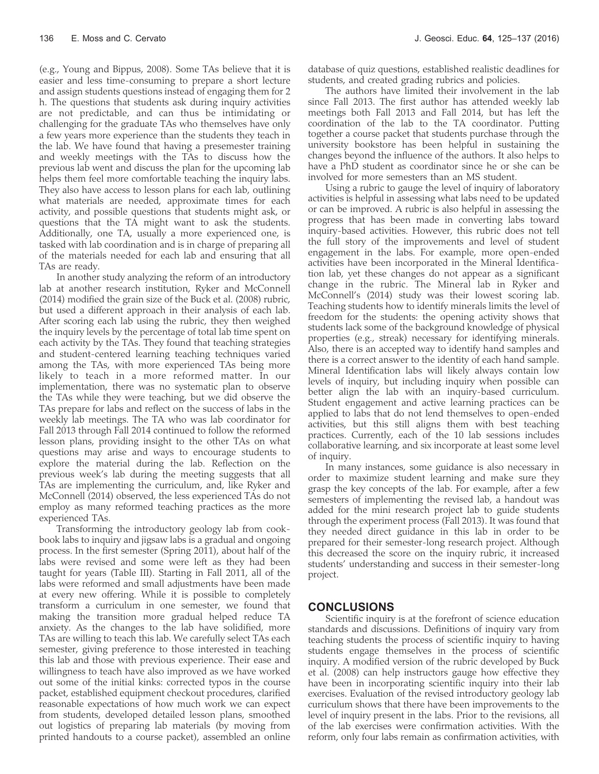(e.g., Young and Bippus, 2008). Some TAs believe that it is easier and less time-consuming to prepare a short lecture and assign students questions instead of engaging them for 2 h. The questions that students ask during inquiry activities are not predictable, and can thus be intimidating or challenging for the graduate TAs who themselves have only a few years more experience than the students they teach in the lab. We have found that having a presemester training and weekly meetings with the TAs to discuss how the previous lab went and discuss the plan for the upcoming lab helps them feel more comfortable teaching the inquiry labs. They also have access to lesson plans for each lab, outlining what materials are needed, approximate times for each activity, and possible questions that students might ask, or questions that the TA might want to ask the students. Additionally, one TA, usually a more experienced one, is tasked with lab coordination and is in charge of preparing all of the materials needed for each lab and ensuring that all TAs are ready.

In another study analyzing the reform of an introductory lab at another research institution, Ryker and McConnell (2014) modified the grain size of the Buck et al. (2008) rubric, but used a different approach in their analysis of each lab. After scoring each lab using the rubric, they then weighed the inquiry levels by the percentage of total lab time spent on each activity by the TAs. They found that teaching strategies and student-centered learning teaching techniques varied among the TAs, with more experienced TAs being more likely to teach in a more reformed matter. In our implementation, there was no systematic plan to observe the TAs while they were teaching, but we did observe the TAs prepare for labs and reflect on the success of labs in the weekly lab meetings. The TA who was lab coordinator for Fall 2013 through Fall 2014 continued to follow the reformed lesson plans, providing insight to the other TAs on what questions may arise and ways to encourage students to explore the material during the lab. Reflection on the previous week's lab during the meeting suggests that all TAs are implementing the curriculum, and, like Ryker and McConnell (2014) observed, the less experienced TAs do not employ as many reformed teaching practices as the more experienced TAs.

Transforming the introductory geology lab from cookbook labs to inquiry and jigsaw labs is a gradual and ongoing process. In the first semester (Spring 2011), about half of the labs were revised and some were left as they had been taught for years (Table III). Starting in Fall 2011, all of the labs were reformed and small adjustments have been made at every new offering. While it is possible to completely transform a curriculum in one semester, we found that making the transition more gradual helped reduce TA anxiety. As the changes to the lab have solidified, more TAs are willing to teach this lab. We carefully select TAs each semester, giving preference to those interested in teaching this lab and those with previous experience. Their ease and willingness to teach have also improved as we have worked out some of the initial kinks: corrected typos in the course packet, established equipment checkout procedures, clarified reasonable expectations of how much work we can expect from students, developed detailed lesson plans, smoothed out logistics of preparing lab materials (by moving from printed handouts to a course packet), assembled an online

database of quiz questions, established realistic deadlines for students, and created grading rubrics and policies.

The authors have limited their involvement in the lab since Fall 2013. The first author has attended weekly lab meetings both Fall 2013 and Fall 2014, but has left the coordination of the lab to the TA coordinator. Putting together a course packet that students purchase through the university bookstore has been helpful in sustaining the changes beyond the influence of the authors. It also helps to have a PhD student as coordinator since he or she can be involved for more semesters than an MS student.

Using a rubric to gauge the level of inquiry of laboratory activities is helpful in assessing what labs need to be updated or can be improved. A rubric is also helpful in assessing the progress that has been made in converting labs toward inquiry-based activities. However, this rubric does not tell the full story of the improvements and level of student engagement in the labs. For example, more open-ended activities have been incorporated in the Mineral Identification lab, yet these changes do not appear as a significant change in the rubric. The Mineral lab in Ryker and McConnell's (2014) study was their lowest scoring lab. Teaching students how to identify minerals limits the level of freedom for the students: the opening activity shows that students lack some of the background knowledge of physical properties (e.g., streak) necessary for identifying minerals. Also, there is an accepted way to identify hand samples and there is a correct answer to the identity of each hand sample. Mineral Identification labs will likely always contain low levels of inquiry, but including inquiry when possible can better align the lab with an inquiry-based curriculum. Student engagement and active learning practices can be applied to labs that do not lend themselves to open-ended activities, but this still aligns them with best teaching practices. Currently, each of the 10 lab sessions includes collaborative learning, and six incorporate at least some level of inquiry.

In many instances, some guidance is also necessary in order to maximize student learning and make sure they grasp the key concepts of the lab. For example, after a few semesters of implementing the revised lab, a handout was added for the mini research project lab to guide students through the experiment process (Fall 2013). It was found that they needed direct guidance in this lab in order to be prepared for their semester-long research project. Although this decreased the score on the inquiry rubric, it increased students' understanding and success in their semester-long project.

### CONCLUSIONS

Scientific inquiry is at the forefront of science education standards and discussions. Definitions of inquiry vary from teaching students the process of scientific inquiry to having students engage themselves in the process of scientific inquiry. A modified version of the rubric developed by Buck et al. (2008) can help instructors gauge how effective they have been in incorporating scientific inquiry into their lab exercises. Evaluation of the revised introductory geology lab curriculum shows that there have been improvements to the level of inquiry present in the labs. Prior to the revisions, all of the lab exercises were confirmation activities. With the reform, only four labs remain as confirmation activities, with